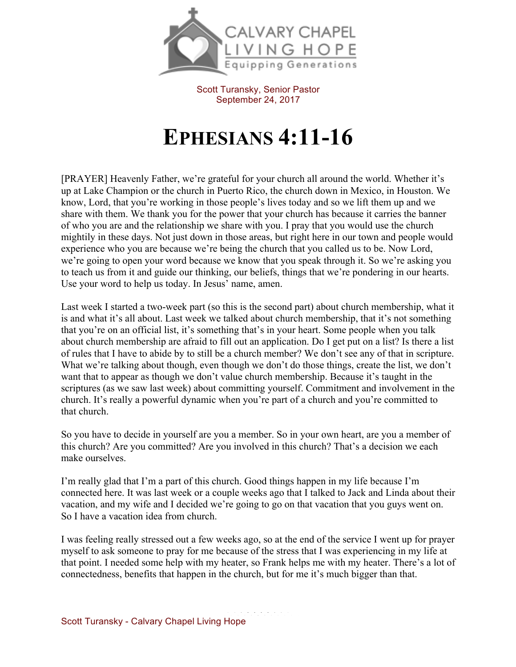

Scott Turansky, Senior Pastor September 24, 2017

## **EPHESIANS 4:11-16**

[PRAYER] Heavenly Father, we're grateful for your church all around the world. Whether it's up at Lake Champion or the church in Puerto Rico, the church down in Mexico, in Houston. We know, Lord, that you're working in those people's lives today and so we lift them up and we share with them. We thank you for the power that your church has because it carries the banner of who you are and the relationship we share with you. I pray that you would use the church mightily in these days. Not just down in those areas, but right here in our town and people would experience who you are because we're being the church that you called us to be. Now Lord, we're going to open your word because we know that you speak through it. So we're asking you to teach us from it and guide our thinking, our beliefs, things that we're pondering in our hearts. Use your word to help us today. In Jesus' name, amen.

Last week I started a two-week part (so this is the second part) about church membership, what it is and what it's all about. Last week we talked about church membership, that it's not something that you're on an official list, it's something that's in your heart. Some people when you talk about church membership are afraid to fill out an application. Do I get put on a list? Is there a list of rules that I have to abide by to still be a church member? We don't see any of that in scripture. What we're talking about though, even though we don't do those things, create the list, we don't want that to appear as though we don't value church membership. Because it's taught in the scriptures (as we saw last week) about committing yourself. Commitment and involvement in the church. It's really a powerful dynamic when you're part of a church and you're committed to that church.

So you have to decide in yourself are you a member. So in your own heart, are you a member of this church? Are you committed? Are you involved in this church? That's a decision we each make ourselves.

I'm really glad that I'm a part of this church. Good things happen in my life because I'm connected here. It was last week or a couple weeks ago that I talked to Jack and Linda about their vacation, and my wife and I decided we're going to go on that vacation that you guys went on. So I have a vacation idea from church.

I was feeling really stressed out a few weeks ago, so at the end of the service I went up for prayer myself to ask someone to pray for me because of the stress that I was experiencing in my life at that point. I needed some help with my heater, so Frank helps me with my heater. There's a lot of connectedness, benefits that happen in the church, but for me it's much bigger than that.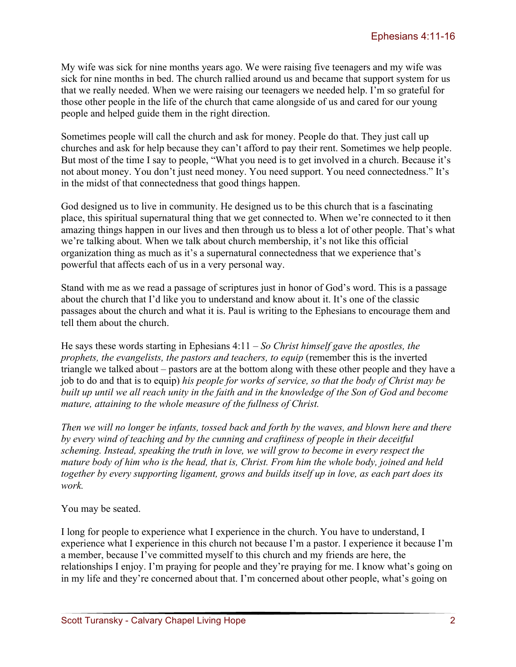My wife was sick for nine months years ago. We were raising five teenagers and my wife was sick for nine months in bed. The church rallied around us and became that support system for us that we really needed. When we were raising our teenagers we needed help. I'm so grateful for those other people in the life of the church that came alongside of us and cared for our young people and helped guide them in the right direction.

Sometimes people will call the church and ask for money. People do that. They just call up churches and ask for help because they can't afford to pay their rent. Sometimes we help people. But most of the time I say to people, "What you need is to get involved in a church. Because it's not about money. You don't just need money. You need support. You need connectedness." It's in the midst of that connectedness that good things happen.

God designed us to live in community. He designed us to be this church that is a fascinating place, this spiritual supernatural thing that we get connected to. When we're connected to it then amazing things happen in our lives and then through us to bless a lot of other people. That's what we're talking about. When we talk about church membership, it's not like this official organization thing as much as it's a supernatural connectedness that we experience that's powerful that affects each of us in a very personal way.

Stand with me as we read a passage of scriptures just in honor of God's word. This is a passage about the church that I'd like you to understand and know about it. It's one of the classic passages about the church and what it is. Paul is writing to the Ephesians to encourage them and tell them about the church.

He says these words starting in Ephesians 4:11 – *So Christ himself gave the apostles, the prophets, the evangelists, the pastors and teachers, to equip (remember this is the inverted* triangle we talked about – pastors are at the bottom along with these other people and they have a job to do and that is to equip) *his people for works of service, so that the body of Christ may be built up until we all reach unity in the faith and in the knowledge of the Son of God and become mature, attaining to the whole measure of the fullness of Christ.*

*Then we will no longer be infants, tossed back and forth by the waves, and blown here and there by every wind of teaching and by the cunning and craftiness of people in their deceitful scheming. Instead, speaking the truth in love, we will grow to become in every respect the mature body of him who is the head, that is, Christ. From him the whole body, joined and held together by every supporting ligament, grows and builds itself up in love, as each part does its work.*

You may be seated.

I long for people to experience what I experience in the church. You have to understand, I experience what I experience in this church not because I'm a pastor. I experience it because I'm a member, because I've committed myself to this church and my friends are here, the relationships I enjoy. I'm praying for people and they're praying for me. I know what's going on in my life and they're concerned about that. I'm concerned about other people, what's going on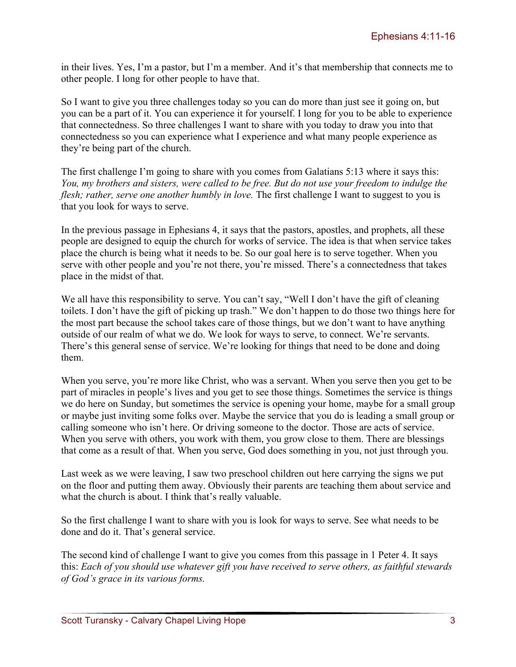in their lives. Yes, I'm a pastor, but I'm a member. And it's that membership that connects me to other people. I long for other people to have that.

So I want to give you three challenges today so you can do more than just see it going on, but you can be a part of it. You can experience it for yourself. I long for you to be able to experience that connectedness. So three challenges I want to share with you today to draw you into that connectedness so you can experience what I experience and what many people experience as they're being part of the church.

The first challenge I'm going to share with you comes from Galatians 5:13 where it says this: *You, my brothers and sisters, were called to be free. But do not use your freedom to indulge the flesh; rather, serve one another humbly in love.* The first challenge I want to suggest to you is that you look for ways to serve.

In the previous passage in Ephesians 4, it says that the pastors, apostles, and prophets, all these people are designed to equip the church for works of service. The idea is that when service takes place the church is being what it needs to be. So our goal here is to serve together. When you serve with other people and you're not there, you're missed. There's a connectedness that takes place in the midst of that.

We all have this responsibility to serve. You can't say, "Well I don't have the gift of cleaning toilets. I don't have the gift of picking up trash." We don't happen to do those two things here for the most part because the school takes care of those things, but we don't want to have anything outside of our realm of what we do. We look for ways to serve, to connect. We're servants. There's this general sense of service. We're looking for things that need to be done and doing them.

When you serve, you're more like Christ, who was a servant. When you serve then you get to be part of miracles in people's lives and you get to see those things. Sometimes the service is things we do here on Sunday, but sometimes the service is opening your home, maybe for a small group or maybe just inviting some folks over. Maybe the service that you do is leading a small group or calling someone who isn't here. Or driving someone to the doctor. Those are acts of service. When you serve with others, you work with them, you grow close to them. There are blessings that come as a result of that. When you serve, God does something in you, not just through you.

Last week as we were leaving, I saw two preschool children out here carrying the signs we put on the floor and putting them away. Obviously their parents are teaching them about service and what the church is about. I think that's really valuable.

So the first challenge I want to share with you is look for ways to serve. See what needs to be done and do it. That's general service.

The second kind of challenge I want to give you comes from this passage in 1 Peter 4. It says this: *Each of you should use whatever gift you have received to serve others, as faithful stewards of God's grace in its various forms.*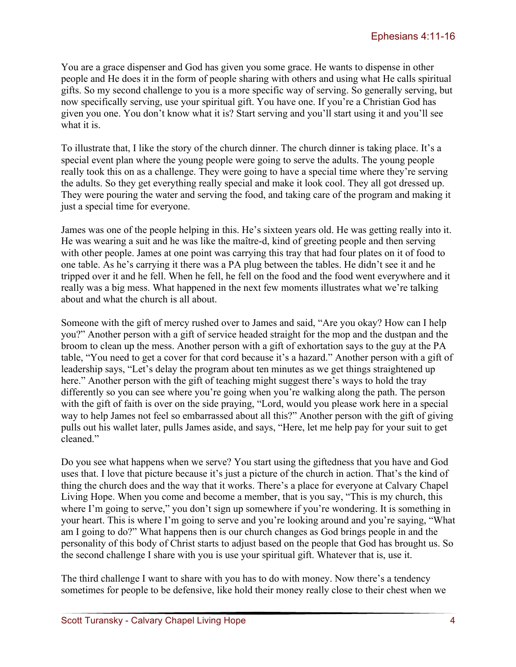You are a grace dispenser and God has given you some grace. He wants to dispense in other people and He does it in the form of people sharing with others and using what He calls spiritual gifts. So my second challenge to you is a more specific way of serving. So generally serving, but now specifically serving, use your spiritual gift. You have one. If you're a Christian God has given you one. You don't know what it is? Start serving and you'll start using it and you'll see what it is.

To illustrate that, I like the story of the church dinner. The church dinner is taking place. It's a special event plan where the young people were going to serve the adults. The young people really took this on as a challenge. They were going to have a special time where they're serving the adults. So they get everything really special and make it look cool. They all got dressed up. They were pouring the water and serving the food, and taking care of the program and making it just a special time for everyone.

James was one of the people helping in this. He's sixteen years old. He was getting really into it. He was wearing a suit and he was like the maître-d, kind of greeting people and then serving with other people. James at one point was carrying this tray that had four plates on it of food to one table. As he's carrying it there was a PA plug between the tables. He didn't see it and he tripped over it and he fell. When he fell, he fell on the food and the food went everywhere and it really was a big mess. What happened in the next few moments illustrates what we're talking about and what the church is all about.

Someone with the gift of mercy rushed over to James and said, "Are you okay? How can I help you?" Another person with a gift of service headed straight for the mop and the dustpan and the broom to clean up the mess. Another person with a gift of exhortation says to the guy at the PA table, "You need to get a cover for that cord because it's a hazard." Another person with a gift of leadership says, "Let's delay the program about ten minutes as we get things straightened up here." Another person with the gift of teaching might suggest there's ways to hold the tray differently so you can see where you're going when you're walking along the path. The person with the gift of faith is over on the side praying, "Lord, would you please work here in a special way to help James not feel so embarrassed about all this?" Another person with the gift of giving pulls out his wallet later, pulls James aside, and says, "Here, let me help pay for your suit to get cleaned."

Do you see what happens when we serve? You start using the giftedness that you have and God uses that. I love that picture because it's just a picture of the church in action. That's the kind of thing the church does and the way that it works. There's a place for everyone at Calvary Chapel Living Hope. When you come and become a member, that is you say, "This is my church, this where I'm going to serve," you don't sign up somewhere if you're wondering. It is something in your heart. This is where I'm going to serve and you're looking around and you're saying, "What am I going to do?" What happens then is our church changes as God brings people in and the personality of this body of Christ starts to adjust based on the people that God has brought us. So the second challenge I share with you is use your spiritual gift. Whatever that is, use it.

The third challenge I want to share with you has to do with money. Now there's a tendency sometimes for people to be defensive, like hold their money really close to their chest when we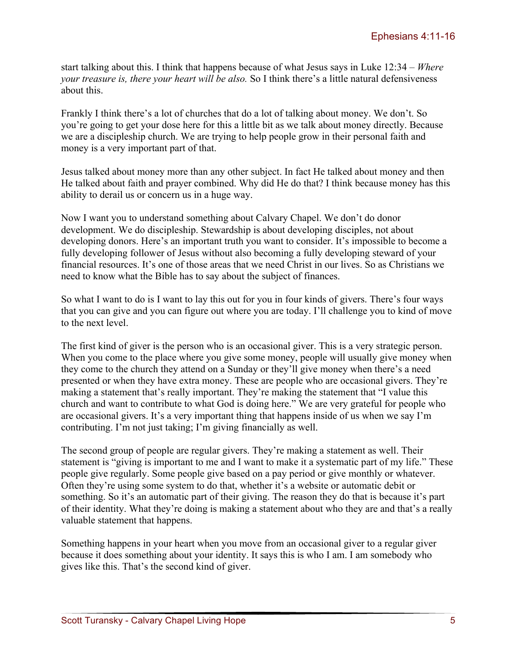start talking about this. I think that happens because of what Jesus says in Luke 12:34 – *Where your treasure is, there your heart will be also.* So I think there's a little natural defensiveness about this.

Frankly I think there's a lot of churches that do a lot of talking about money. We don't. So you're going to get your dose here for this a little bit as we talk about money directly. Because we are a discipleship church. We are trying to help people grow in their personal faith and money is a very important part of that.

Jesus talked about money more than any other subject. In fact He talked about money and then He talked about faith and prayer combined. Why did He do that? I think because money has this ability to derail us or concern us in a huge way.

Now I want you to understand something about Calvary Chapel. We don't do donor development. We do discipleship. Stewardship is about developing disciples, not about developing donors. Here's an important truth you want to consider. It's impossible to become a fully developing follower of Jesus without also becoming a fully developing steward of your financial resources. It's one of those areas that we need Christ in our lives. So as Christians we need to know what the Bible has to say about the subject of finances.

So what I want to do is I want to lay this out for you in four kinds of givers. There's four ways that you can give and you can figure out where you are today. I'll challenge you to kind of move to the next level.

The first kind of giver is the person who is an occasional giver. This is a very strategic person. When you come to the place where you give some money, people will usually give money when they come to the church they attend on a Sunday or they'll give money when there's a need presented or when they have extra money. These are people who are occasional givers. They're making a statement that's really important. They're making the statement that "I value this church and want to contribute to what God is doing here." We are very grateful for people who are occasional givers. It's a very important thing that happens inside of us when we say I'm contributing. I'm not just taking; I'm giving financially as well.

The second group of people are regular givers. They're making a statement as well. Their statement is "giving is important to me and I want to make it a systematic part of my life." These people give regularly. Some people give based on a pay period or give monthly or whatever. Often they're using some system to do that, whether it's a website or automatic debit or something. So it's an automatic part of their giving. The reason they do that is because it's part of their identity. What they're doing is making a statement about who they are and that's a really valuable statement that happens.

Something happens in your heart when you move from an occasional giver to a regular giver because it does something about your identity. It says this is who I am. I am somebody who gives like this. That's the second kind of giver.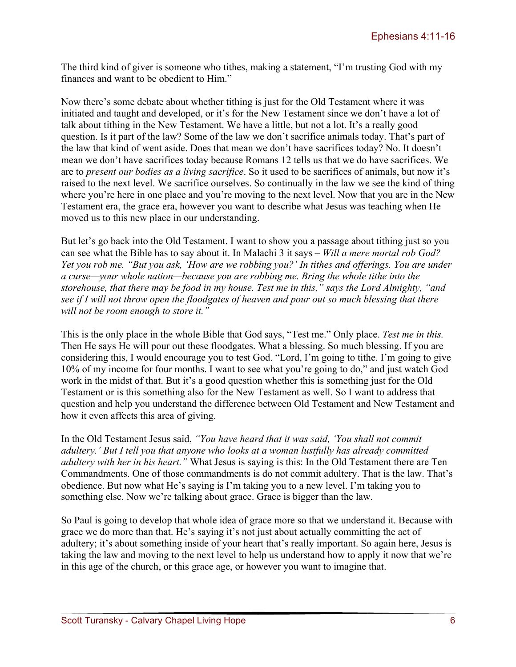The third kind of giver is someone who tithes, making a statement, "I'm trusting God with my finances and want to be obedient to Him."

Now there's some debate about whether tithing is just for the Old Testament where it was initiated and taught and developed, or it's for the New Testament since we don't have a lot of talk about tithing in the New Testament. We have a little, but not a lot. It's a really good question. Is it part of the law? Some of the law we don't sacrifice animals today. That's part of the law that kind of went aside. Does that mean we don't have sacrifices today? No. It doesn't mean we don't have sacrifices today because Romans 12 tells us that we do have sacrifices. We are to *present our bodies as a living sacrifice*. So it used to be sacrifices of animals, but now it's raised to the next level. We sacrifice ourselves. So continually in the law we see the kind of thing where you're here in one place and you're moving to the next level. Now that you are in the New Testament era, the grace era, however you want to describe what Jesus was teaching when He moved us to this new place in our understanding.

But let's go back into the Old Testament. I want to show you a passage about tithing just so you can see what the Bible has to say about it. In Malachi 3 it says – *Will a mere mortal rob God? Yet you rob me. "But you ask, 'How are we robbing you?' In tithes and offerings. You are under a curse—your whole nation—because you are robbing me. Bring the whole tithe into the storehouse, that there may be food in my house. Test me in this," says the Lord Almighty, "and see if I will not throw open the floodgates of heaven and pour out so much blessing that there will not be room enough to store it."* 

This is the only place in the whole Bible that God says, "Test me." Only place. *Test me in this.* Then He says He will pour out these floodgates. What a blessing. So much blessing. If you are considering this, I would encourage you to test God. "Lord, I'm going to tithe. I'm going to give 10% of my income for four months. I want to see what you're going to do," and just watch God work in the midst of that. But it's a good question whether this is something just for the Old Testament or is this something also for the New Testament as well. So I want to address that question and help you understand the difference between Old Testament and New Testament and how it even affects this area of giving.

In the Old Testament Jesus said, *"You have heard that it was said, 'You shall not commit adultery.' But I tell you that anyone who looks at a woman lustfully has already committed adultery with her in his heart."* What Jesus is saying is this: In the Old Testament there are Ten Commandments. One of those commandments is do not commit adultery. That is the law. That's obedience. But now what He's saying is I'm taking you to a new level. I'm taking you to something else. Now we're talking about grace. Grace is bigger than the law.

So Paul is going to develop that whole idea of grace more so that we understand it. Because with grace we do more than that. He's saying it's not just about actually committing the act of adultery; it's about something inside of your heart that's really important. So again here, Jesus is taking the law and moving to the next level to help us understand how to apply it now that we're in this age of the church, or this grace age, or however you want to imagine that.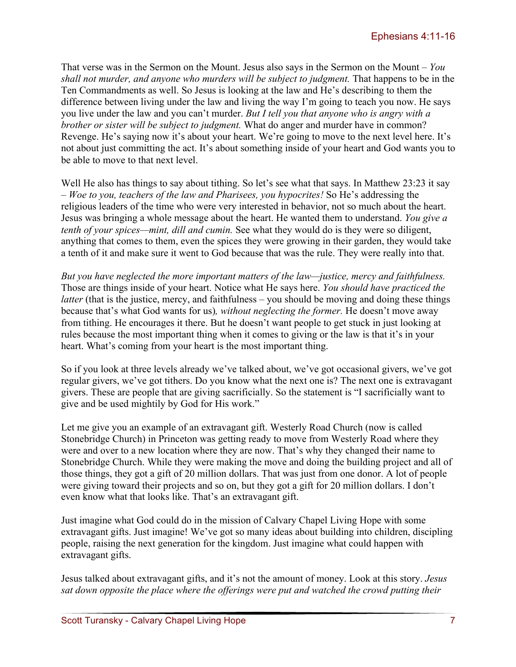That verse was in the Sermon on the Mount. Jesus also says in the Sermon on the Mount – *You shall not murder, and anyone who murders will be subject to judgment.* That happens to be in the Ten Commandments as well. So Jesus is looking at the law and He's describing to them the difference between living under the law and living the way I'm going to teach you now. He says you live under the law and you can't murder. *But I tell you that anyone who is angry with a brother or sister will be subject to judgment.* What do anger and murder have in common? Revenge. He's saying now it's about your heart. We're going to move to the next level here. It's not about just committing the act. It's about something inside of your heart and God wants you to be able to move to that next level.

Well He also has things to say about tithing. So let's see what that says. In Matthew 23:23 it say – *Woe to you, teachers of the law and Pharisees, you hypocrites!* So He's addressing the religious leaders of the time who were very interested in behavior, not so much about the heart. Jesus was bringing a whole message about the heart. He wanted them to understand. *You give a tenth of your spices—mint, dill and cumin.* See what they would do is they were so diligent, anything that comes to them, even the spices they were growing in their garden, they would take a tenth of it and make sure it went to God because that was the rule. They were really into that.

*But you have neglected the more important matters of the law—justice, mercy and faithfulness.*  Those are things inside of your heart. Notice what He says here. *You should have practiced the latter* (that is the justice, mercy, and faithfulness – you should be moving and doing these things because that's what God wants for us)*, without neglecting the former.* He doesn't move away from tithing. He encourages it there. But he doesn't want people to get stuck in just looking at rules because the most important thing when it comes to giving or the law is that it's in your heart. What's coming from your heart is the most important thing.

So if you look at three levels already we've talked about, we've got occasional givers, we've got regular givers, we've got tithers. Do you know what the next one is? The next one is extravagant givers. These are people that are giving sacrificially. So the statement is "I sacrificially want to give and be used mightily by God for His work."

Let me give you an example of an extravagant gift. Westerly Road Church (now is called Stonebridge Church) in Princeton was getting ready to move from Westerly Road where they were and over to a new location where they are now. That's why they changed their name to Stonebridge Church. While they were making the move and doing the building project and all of those things, they got a gift of 20 million dollars. That was just from one donor. A lot of people were giving toward their projects and so on, but they got a gift for 20 million dollars. I don't even know what that looks like. That's an extravagant gift.

Just imagine what God could do in the mission of Calvary Chapel Living Hope with some extravagant gifts. Just imagine! We've got so many ideas about building into children, discipling people, raising the next generation for the kingdom. Just imagine what could happen with extravagant gifts.

Jesus talked about extravagant gifts, and it's not the amount of money. Look at this story. *Jesus sat down opposite the place where the offerings were put and watched the crowd putting their*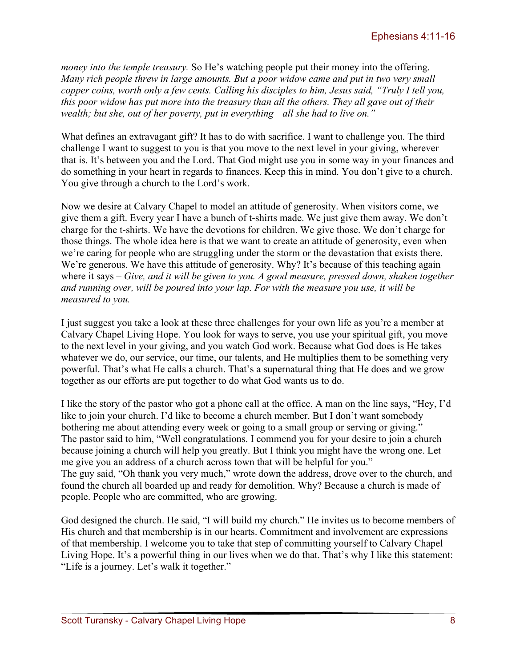*money into the temple treasury.* So He's watching people put their money into the offering. *Many rich people threw in large amounts. But a poor widow came and put in two very small copper coins, worth only a few cents. Calling his disciples to him, Jesus said, "Truly I tell you, this poor widow has put more into the treasury than all the others. They all gave out of their wealth; but she, out of her poverty, put in everything—all she had to live on."*

What defines an extravagant gift? It has to do with sacrifice. I want to challenge you. The third challenge I want to suggest to you is that you move to the next level in your giving, wherever that is. It's between you and the Lord. That God might use you in some way in your finances and do something in your heart in regards to finances. Keep this in mind. You don't give to a church. You give through a church to the Lord's work.

Now we desire at Calvary Chapel to model an attitude of generosity. When visitors come, we give them a gift. Every year I have a bunch of t-shirts made. We just give them away. We don't charge for the t-shirts. We have the devotions for children. We give those. We don't charge for those things. The whole idea here is that we want to create an attitude of generosity, even when we're caring for people who are struggling under the storm or the devastation that exists there. We're generous. We have this attitude of generosity. Why? It's because of this teaching again where it says – *Give, and it will be given to you. A good measure, pressed down, shaken together and running over, will be poured into your lap. For with the measure you use, it will be measured to you.*

I just suggest you take a look at these three challenges for your own life as you're a member at Calvary Chapel Living Hope. You look for ways to serve, you use your spiritual gift, you move to the next level in your giving, and you watch God work. Because what God does is He takes whatever we do, our service, our time, our talents, and He multiplies them to be something very powerful. That's what He calls a church. That's a supernatural thing that He does and we grow together as our efforts are put together to do what God wants us to do.

I like the story of the pastor who got a phone call at the office. A man on the line says, "Hey, I'd like to join your church. I'd like to become a church member. But I don't want somebody bothering me about attending every week or going to a small group or serving or giving." The pastor said to him, "Well congratulations. I commend you for your desire to join a church because joining a church will help you greatly. But I think you might have the wrong one. Let me give you an address of a church across town that will be helpful for you." The guy said, "Oh thank you very much," wrote down the address, drove over to the church, and found the church all boarded up and ready for demolition. Why? Because a church is made of people. People who are committed, who are growing.

God designed the church. He said, "I will build my church." He invites us to become members of His church and that membership is in our hearts. Commitment and involvement are expressions of that membership. I welcome you to take that step of committing yourself to Calvary Chapel Living Hope. It's a powerful thing in our lives when we do that. That's why I like this statement: "Life is a journey. Let's walk it together."